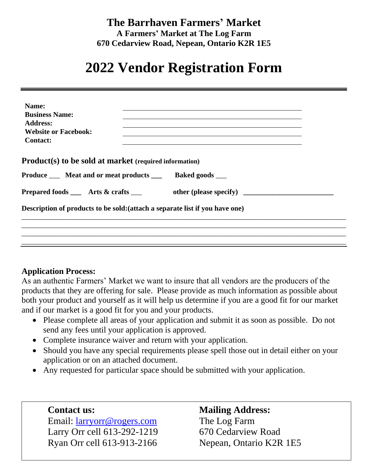### **The Barrhaven Farmers' Market A Farmers' Market at The Log Farm 670 Cedarview Road, Nepean, Ontario K2R 1E5**

## **2022 Vendor Registration Form**

| Name:                                                                                                                                                                                                                   |  |
|-------------------------------------------------------------------------------------------------------------------------------------------------------------------------------------------------------------------------|--|
| <b>Business Name:</b>                                                                                                                                                                                                   |  |
| <b>Address:</b>                                                                                                                                                                                                         |  |
| <b>Website or Facebook:</b>                                                                                                                                                                                             |  |
| <b>Contact:</b>                                                                                                                                                                                                         |  |
| <b>Product(s)</b> to be sold at market (required information)<br>Produce _____ Meat and or meat products ________ Baked goods _____<br>Prepared foods ___ Arts & crafts ___ other (please specify) ____________________ |  |
| Description of products to be sold: (attach a separate list if you have one)                                                                                                                                            |  |
|                                                                                                                                                                                                                         |  |
|                                                                                                                                                                                                                         |  |
|                                                                                                                                                                                                                         |  |

#### **Application Process:**

As an authentic Farmers' Market we want to insure that all vendors are the producers of the products that they are offering for sale. Please provide as much information as possible about both your product and yourself as it will help us determine if you are a good fit for our market and if our market is a good fit for you and your products.

- Please complete all areas of your application and submit it as soon as possible. Do not send any fees until your application is approved.
- Complete insurance waiver and return with your application.
- Should you have any special requirements please spell those out in detail either on your application or on an attached document.
- Any requested for particular space should be submitted with your application.

**Contact us: Mailing Address:** Email: [larryorr@rogers.com](mailto:larryorr@rogers.com) The Log Farm Larry Orr cell 613-292-1219 670 Cedarview Road Ryan Orr cell 613-913-2166 Nepean, Ontario K2R 1E5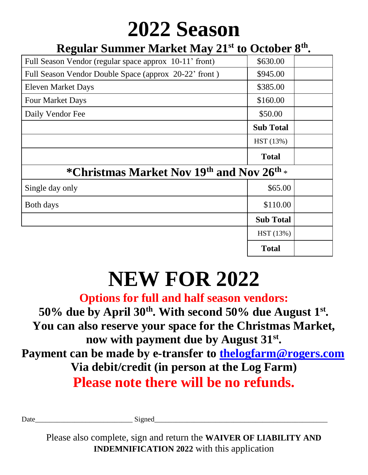# **2022 Season**

## **Regular Summer Market May 21st to October 8th .**

| Full Season Vendor (regular space approx 10-11' front) | \$630.00         |  |
|--------------------------------------------------------|------------------|--|
| Full Season Vendor Double Space (approx 20-22' front)  | \$945.00         |  |
| <b>Eleven Market Days</b>                              | \$385.00         |  |
| <b>Four Market Days</b>                                | \$160.00         |  |
| Daily Vendor Fee                                       | \$50.00          |  |
|                                                        | <b>Sub Total</b> |  |
|                                                        | HST (13%)        |  |
|                                                        | <b>Total</b>     |  |
| *Christmas Market Nov 19th and Nov 26th *              |                  |  |
| Single day only                                        | \$65.00          |  |
| Both days                                              | \$110.00         |  |
|                                                        | <b>Sub Total</b> |  |
|                                                        | HST (13%)        |  |
|                                                        | <b>Total</b>     |  |

# **NEW FOR 2022**

## **Options for full and half season vendors: 50% due by April 30th . With second 50% due August 1st . You can also reserve your space for the Christmas Market, now with payment due by August 31st . Payment can be made by e-transfer to [thelogfarm@rogers.com](mailto:thelogfarm@rogers.com) Via debit/credit (in person at the Log Farm) Please note there will be no refunds.**

Date\_\_\_\_\_\_\_\_\_\_\_\_\_\_\_\_\_\_\_\_\_\_\_\_\_\_\_ Signed\_\_\_\_\_\_\_\_\_\_\_\_\_\_\_\_\_\_\_\_\_\_\_\_\_\_\_\_\_\_\_\_\_\_\_\_\_\_\_\_\_\_\_\_\_\_\_\_

Please also complete, sign and return the **WAIVER OF LIABILITY AND INDEMNIFICATION 2022** with this application